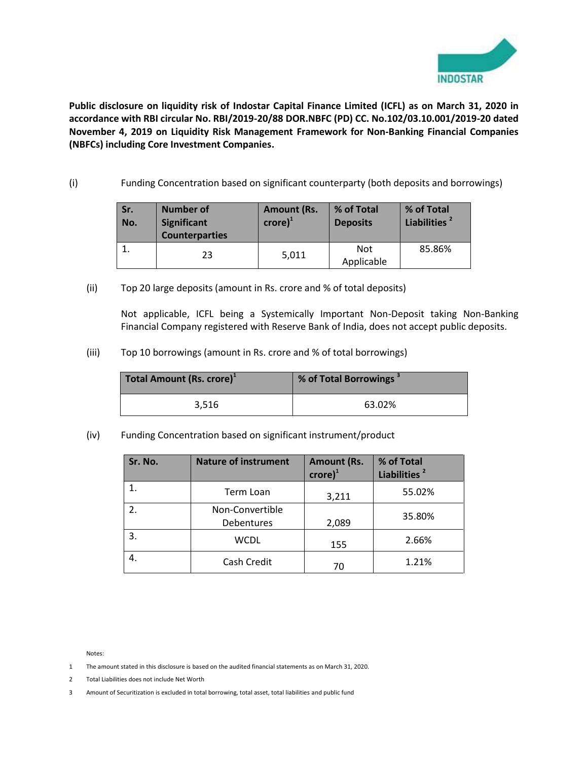

**Public disclosure on liquidity risk of Indostar Capital Finance Limited (ICFL) as on March 31, 2020 in accordance with RBI circular No. RBI/2019-20/88 DOR.NBFC (PD) CC. No.102/03.10.001/2019-20 dated November 4, 2019 on Liquidity Risk Management Framework for Non-Banking Financial Companies (NBFCs) including Core Investment Companies.** 

(i) Funding Concentration based on significant counterparty (both deposits and borrowings)

| Sr.<br>No. | <b>Number of</b><br><b>Significant</b><br><b>Counterparties</b> | <b>Amount (Rs.</b><br>$\mathsf{crore}\mathsf{)}^1$ | % of Total<br><b>Deposits</b> | % of Total<br>Liabilities <sup>2</sup> |
|------------|-----------------------------------------------------------------|----------------------------------------------------|-------------------------------|----------------------------------------|
|            | 23                                                              | 5,011                                              | Not<br>Applicable             | 85.86%                                 |

(ii) Top 20 large deposits (amount in Rs. crore and % of total deposits)

Not applicable, ICFL being a Systemically Important Non-Deposit taking Non-Banking Financial Company registered with Reserve Bank of India, does not accept public deposits.

(iii) Top 10 borrowings (amount in Rs. crore and % of total borrowings)

| Total Amount (Rs. crore) <sup>1</sup> | % of Total Borrowings |
|---------------------------------------|-----------------------|
| 3.516                                 | 63.02%                |

(iv) Funding Concentration based on significant instrument/product

| Sr. No. | <b>Nature of instrument</b>   | <b>Amount (Rs.</b><br>$\mathsf{crore}\mathsf{)}^1$ | % of Total<br>Liabilities <sup>2</sup> |
|---------|-------------------------------|----------------------------------------------------|----------------------------------------|
|         | Term Loan                     | 3,211                                              | 55.02%                                 |
| 2.      | Non-Convertible<br>Debentures | 2,089                                              | 35.80%                                 |
| 3.      | <b>WCDL</b>                   | 155                                                | 2.66%                                  |
|         | Cash Credit                   | 70                                                 | 1.21%                                  |

Notes:

- 1 The amount stated in this disclosure is based on the audited financial statements as on March 31, 2020.
- 2 Total Liabilities does not include Net Worth
- 3 Amount of Securitization is excluded in total borrowing, total asset, total liabilities and public fund